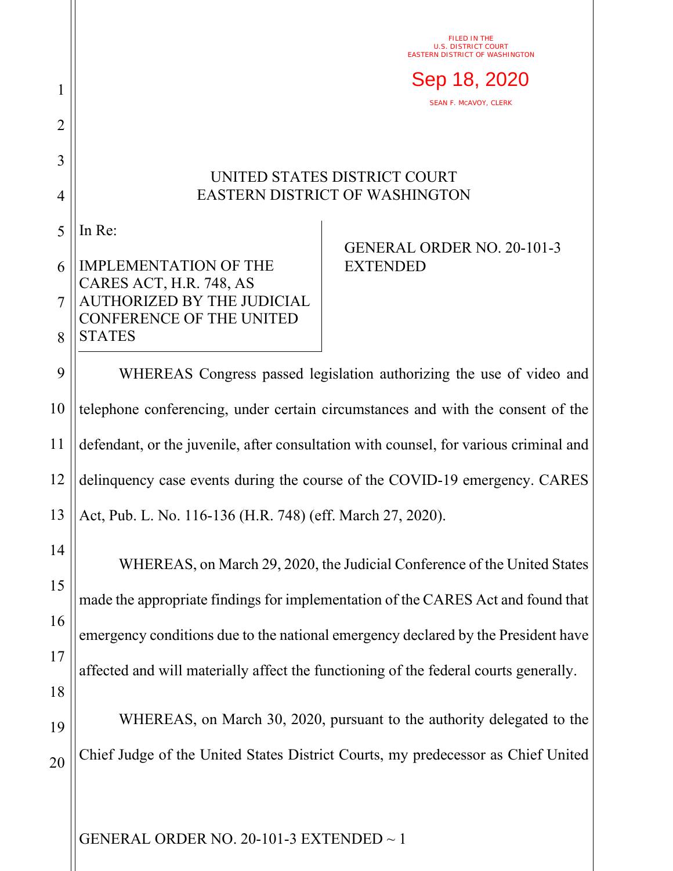## UNITED STATES DISTRICT COURT EASTERN DISTRICT OF WASHINGTON

5 In Re:

1

2

3

4

20

## 6 7 8 IMPLEMENTATION OF THE CARES ACT, H.R. 748, AS AUTHORIZED BY THE JUDICIAL CONFERENCE OF THE UNITED **STATES**

## GENERAL ORDER NO. 20-101-3 EXTENDED

FILED IN THE U.S. DISTRICT COURT EASTERN DISTRICT OF WASHINGTON

SEAN F. MCAVOY, CLERK

Sep 18, 2020

9 10 11 12 13 WHEREAS Congress passed legislation authorizing the use of video and telephone conferencing, under certain circumstances and with the consent of the defendant, or the juvenile, after consultation with counsel, for various criminal and delinquency case events during the course of the COVID-19 emergency. CARES Act, Pub. L. No. 116-136 (H.R. 748) (eff. March 27, 2020).

14 15 16 17 18 19 WHEREAS, on March 29, 2020, the Judicial Conference of the United States made the appropriate findings for implementation of the CARES Act and found that emergency conditions due to the national emergency declared by the President have affected and will materially affect the functioning of the federal courts generally. WHEREAS, on March 30, 2020, pursuant to the authority delegated to the

Chief Judge of the United States District Courts, my predecessor as Chief United

GENERAL ORDER NO. 20-101-3 EXTENDED  $\sim$  1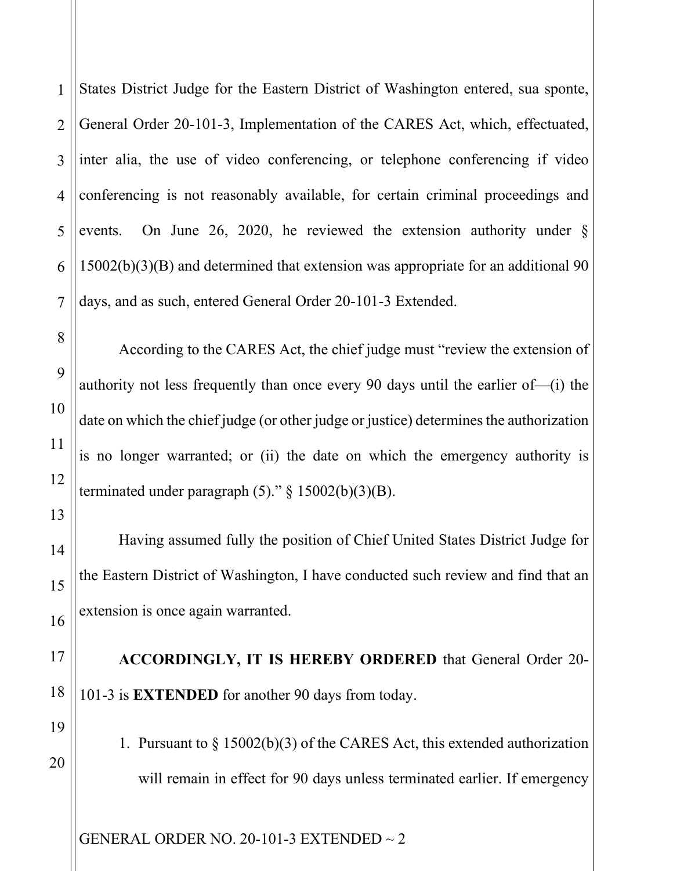1 2 3 4 5 6 7 States District Judge for the Eastern District of Washington entered, sua sponte, General Order 20-101-3, Implementation of the CARES Act, which, effectuated, inter alia, the use of video conferencing, or telephone conferencing if video conferencing is not reasonably available, for certain criminal proceedings and events. On June 26, 2020, he reviewed the extension authority under § 15002(b)(3)(B) and determined that extension was appropriate for an additional 90 days, and as such, entered General Order 20-101-3 Extended.

According to the CARES Act, the chief judge must "review the extension of authority not less frequently than once every 90 days until the earlier of—(i) the date on which the chief judge (or other judge or justice) determines the authorization is no longer warranted; or (ii) the date on which the emergency authority is terminated under paragraph  $(5)$ ." § 15002(b)(3)(B).

Having assumed fully the position of Chief United States District Judge for the Eastern District of Washington, I have conducted such review and find that an extension is once again warranted.

**ACCORDINGLY, IT IS HEREBY ORDERED** that General Order 20- 101-3 is **EXTENDED** for another 90 days from today.

1. Pursuant to § 15002(b)(3) of the CARES Act, this extended authorization will remain in effect for 90 days unless terminated earlier. If emergency

GENERAL ORDER NO. 20-101-3 EXTENDED  $\sim$  2

8

9

10

11

12

13

14

15

16

17

18

19

20